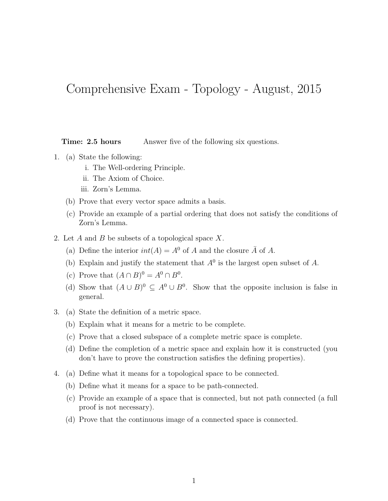## Comprehensive Exam - Topology - August, 2015

**Time: 2.5 hours** Answer five of the following six questions.

- 1. (a) State the following:
	- i. The Well-ordering Principle.
	- ii. The Axiom of Choice.
	- iii. Zorn's Lemma.
	- (b) Prove that every vector space admits a basis.
	- (c) Provide an example of a partial ordering that does not satisfy the conditions of Zorn's Lemma.
- 2. Let A and B be subsets of a topological space  $X$ .
	- (a) Define the interior  $int(A) = A^0$  of A and the closure  $\overline{A}$  of A.
	- (b) Explain and justify the statement that  $A^0$  is the largest open subset of A.
	- (c) Prove that  $(A \cap B)^0 = A^0 \cap B^0$ .
	- (d) Show that  $(A \cup B)^0 \subseteq A^0 \cup B^0$ . Show that the opposite inclusion is false in general.
- 3. (a) State the definition of a metric space.
	- (b) Explain what it means for a metric to be complete.
	- (c) Prove that a closed subspace of a complete metric space is complete.
	- (d) Define the completion of a metric space and explain how it is constructed (you don't have to prove the construction satisfies the defining properties).
- 4. (a) Define what it means for a topological space to be connected.
	- (b) Define what it means for a space to be path-connected.
	- (c) Provide an example of a space that is connected, but not path connected (a full proof is not necessary).
	- (d) Prove that the continuous image of a connected space is connected.